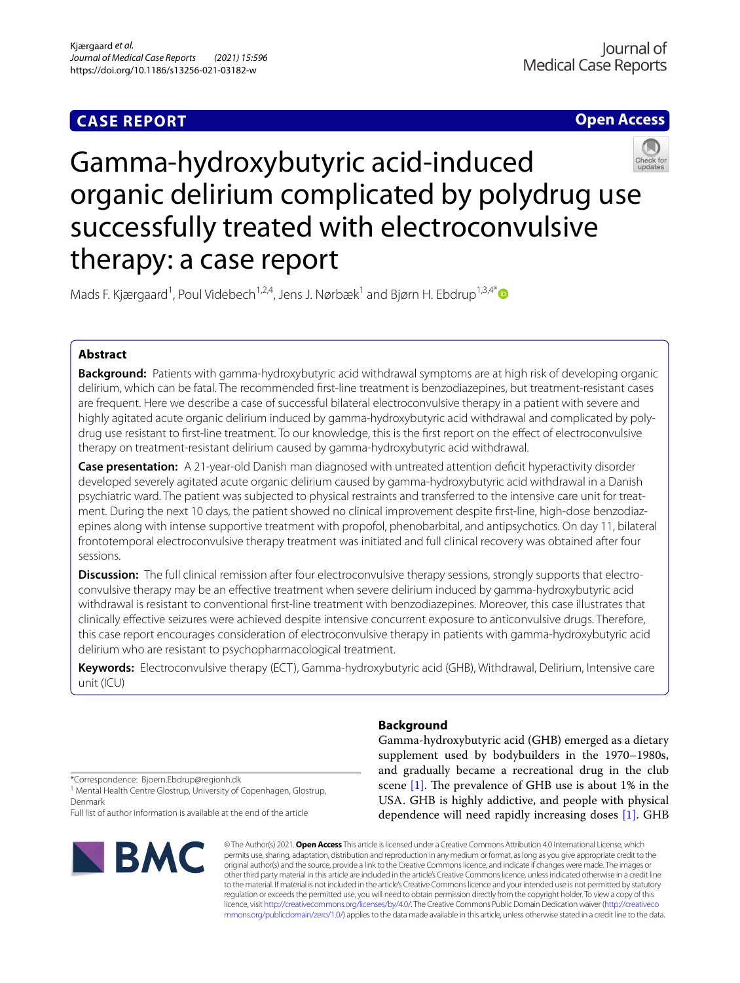## **CASE REPORT**

**Open Access**

# Gamma-hydroxybutyric acid-induced organic delirium complicated by polydrug use successfully treated with electroconvulsive therapy: a case report

Mads F. Kjærgaard<sup>1</sup>, Poul Videbech<sup>1,2,4</sup>, Jens J. Nørbæk<sup>1</sup> and Bjørn H. Ebdrup<sup>1,3,4[\\*](http://orcid.org/0000-0002-2590-5055)</sup>

## **Abstract**

**Background:** Patients with gamma-hydroxybutyric acid withdrawal symptoms are at high risk of developing organic delirium, which can be fatal. The recommended frst-line treatment is benzodiazepines, but treatment-resistant cases are frequent. Here we describe a case of successful bilateral electroconvulsive therapy in a patient with severe and highly agitated acute organic delirium induced by gamma-hydroxybutyric acid withdrawal and complicated by polydrug use resistant to first-line treatment. To our knowledge, this is the first report on the effect of electroconvulsive therapy on treatment-resistant delirium caused by gamma-hydroxybutyric acid withdrawal.

**Case presentation:** A 21-year-old Danish man diagnosed with untreated attention defcit hyperactivity disorder developed severely agitated acute organic delirium caused by gamma-hydroxybutyric acid withdrawal in a Danish psychiatric ward. The patient was subjected to physical restraints and transferred to the intensive care unit for treatment. During the next 10 days, the patient showed no clinical improvement despite frst-line, high-dose benzodiazepines along with intense supportive treatment with propofol, phenobarbital, and antipsychotics. On day 11, bilateral frontotemporal electroconvulsive therapy treatment was initiated and full clinical recovery was obtained after four sessions.

**Discussion:** The full clinical remission after four electroconvulsive therapy sessions, strongly supports that electroconvulsive therapy may be an efective treatment when severe delirium induced by gamma-hydroxybutyric acid withdrawal is resistant to conventional frst-line treatment with benzodiazepines. Moreover, this case illustrates that clinically efective seizures were achieved despite intensive concurrent exposure to anticonvulsive drugs. Therefore, this case report encourages consideration of electroconvulsive therapy in patients with gamma-hydroxybutyric acid delirium who are resistant to psychopharmacological treatment.

**Keywords:** Electroconvulsive therapy (ECT), Gamma-hydroxybutyric acid (GHB), Withdrawal, Delirium, Intensive care unit (ICU)

## **Background**

Gamma-hydroxybutyric acid (GHB) emerged as a dietary supplement used by bodybuilders in the 1970–1980s, and gradually became a recreational drug in the club scene  $[1]$ . The prevalence of GHB use is about 1% in the USA. GHB is highly addictive, and people with physical dependence will need rapidly increasing doses [\[1\]](#page-4-0). GHB

\*Correspondence: Bjoern.Ebdrup@regionh.dk

<sup>1</sup> Mental Health Centre Glostrup, University of Copenhagen, Glostrup, Denmark

Full list of author information is available at the end of the article



© The Author(s) 2021. **Open Access** This article is licensed under a Creative Commons Attribution 4.0 International License, which permits use, sharing, adaptation, distribution and reproduction in any medium or format, as long as you give appropriate credit to the original author(s) and the source, provide a link to the Creative Commons licence, and indicate if changes were made. The images or other third party material in this article are included in the article's Creative Commons licence, unless indicated otherwise in a credit line to the material. If material is not included in the article's Creative Commons licence and your intended use is not permitted by statutory regulation or exceeds the permitted use, you will need to obtain permission directly from the copyright holder. To view a copy of this licence, visit [http://creativecommons.org/licenses/by/4.0/.](http://creativecommons.org/licenses/by/4.0/) The Creative Commons Public Domain Dedication waiver ([http://creativeco](http://creativecommons.org/publicdomain/zero/1.0/) [mmons.org/publicdomain/zero/1.0/](http://creativecommons.org/publicdomain/zero/1.0/)) applies to the data made available in this article, unless otherwise stated in a credit line to the data.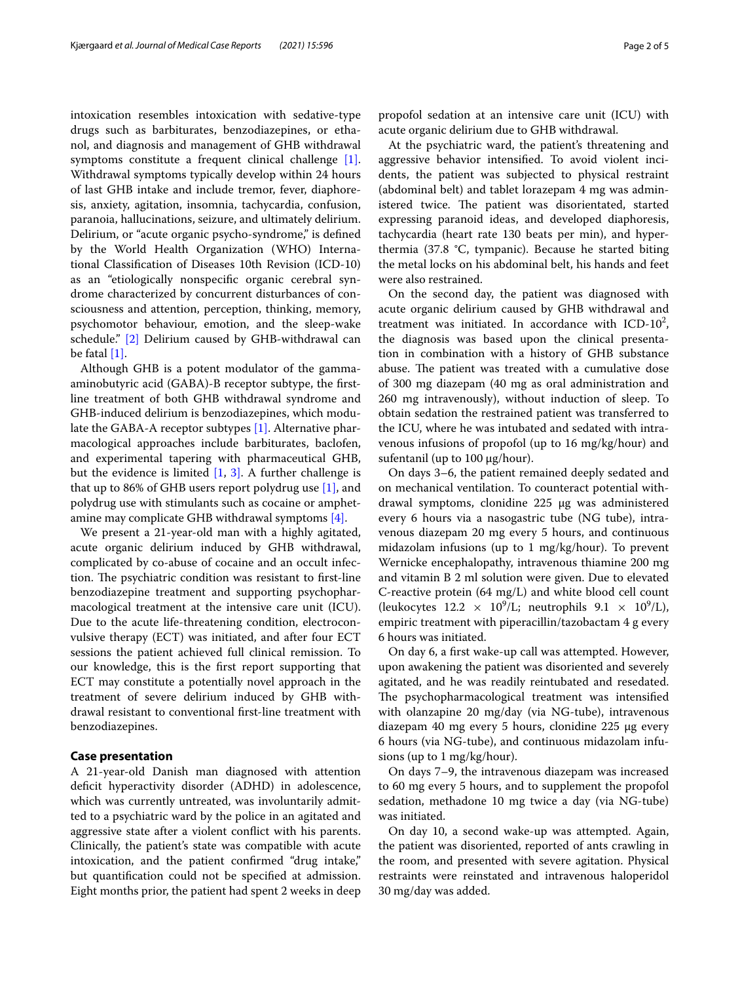intoxication resembles intoxication with sedative-type drugs such as barbiturates, benzodiazepines, or ethanol, and diagnosis and management of GHB withdrawal symptoms constitute a frequent clinical challenge [\[1\]](#page-4-0). Withdrawal symptoms typically develop within 24 hours of last GHB intake and include tremor, fever, diaphoresis, anxiety, agitation, insomnia, tachycardia, confusion, paranoia, hallucinations, seizure, and ultimately delirium. Delirium, or "acute organic psycho-syndrome," is defned by the World Health Organization (WHO) International Classifcation of Diseases 10th Revision (ICD-10) as an "etiologically nonspecifc organic cerebral syndrome characterized by concurrent disturbances of consciousness and attention, perception, thinking, memory, psychomotor behaviour, emotion, and the sleep-wake schedule." [\[2\]](#page-4-1) Delirium caused by GHB-withdrawal can be fatal  $[1]$ .

Although GHB is a potent modulator of the gammaaminobutyric acid (GABA)-B receptor subtype, the frstline treatment of both GHB withdrawal syndrome and GHB-induced delirium is benzodiazepines, which modulate the GABA-A receptor subtypes [\[1\].](#page-4-0) Alternative pharmacological approaches include barbiturates, baclofen, and experimental tapering with pharmaceutical GHB, but the evidence is limited  $[1, 3]$  $[1, 3]$ . A further challenge is that up to 86% of GHB users report polydrug use  $[1]$ , and polydrug use with stimulants such as cocaine or amphetamine may complicate GHB withdrawal symptoms [\[4\]](#page-4-3).

We present a 21-year-old man with a highly agitated, acute organic delirium induced by GHB withdrawal, complicated by co-abuse of cocaine and an occult infection. The psychiatric condition was resistant to first-line benzodiazepine treatment and supporting psychopharmacological treatment at the intensive care unit (ICU). Due to the acute life-threatening condition, electroconvulsive therapy (ECT) was initiated, and after four ECT sessions the patient achieved full clinical remission. To our knowledge, this is the frst report supporting that ECT may constitute a potentially novel approach in the treatment of severe delirium induced by GHB withdrawal resistant to conventional frst-line treatment with benzodiazepines.

#### **Case presentation**

A 21-year-old Danish man diagnosed with attention deficit hyperactivity disorder (ADHD) in adolescence, which was currently untreated, was involuntarily admitted to a psychiatric ward by the police in an agitated and aggressive state after a violent confict with his parents. Clinically, the patient's state was compatible with acute intoxication, and the patient confrmed "drug intake," but quantifcation could not be specifed at admission. Eight months prior, the patient had spent 2 weeks in deep

propofol sedation at an intensive care unit (ICU) with acute organic delirium due to GHB withdrawal.

At the psychiatric ward, the patient's threatening and aggressive behavior intensifed. To avoid violent incidents, the patient was subjected to physical restraint (abdominal belt) and tablet lorazepam 4 mg was administered twice. The patient was disorientated, started expressing paranoid ideas, and developed diaphoresis, tachycardia (heart rate 130 beats per min), and hyperthermia (37.8 °C, tympanic). Because he started biting the metal locks on his abdominal belt, his hands and feet were also restrained.

On the second day, the patient was diagnosed with acute organic delirium caused by GHB withdrawal and treatment was initiated. In accordance with  $ICD-10<sup>2</sup>$ , the diagnosis was based upon the clinical presentation in combination with a history of GHB substance abuse. The patient was treated with a cumulative dose of 300 mg diazepam (40 mg as oral administration and 260 mg intravenously), without induction of sleep. To obtain sedation the restrained patient was transferred to the ICU, where he was intubated and sedated with intravenous infusions of propofol (up to 16 mg/kg/hour) and sufentanil (up to 100 μg/hour).

On days 3–6, the patient remained deeply sedated and on mechanical ventilation. To counteract potential withdrawal symptoms, clonidine 225 μg was administered every 6 hours via a nasogastric tube (NG tube), intravenous diazepam 20 mg every 5 hours, and continuous midazolam infusions (up to 1 mg/kg/hour). To prevent Wernicke encephalopathy, intravenous thiamine 200 mg and vitamin B 2 ml solution were given. Due to elevated C-reactive protein (64 mg/L) and white blood cell count (leukocytes  $12.2 \times 10^9$ /L; neutrophils  $9.1 \times 10^9$ /L), empiric treatment with piperacillin/tazobactam 4 g every 6 hours was initiated.

On day 6, a frst wake-up call was attempted. However, upon awakening the patient was disoriented and severely agitated, and he was readily reintubated and resedated. The psychopharmacological treatment was intensified with olanzapine 20 mg/day (via NG-tube), intravenous diazepam 40 mg every 5 hours, clonidine 225 μg every 6 hours (via NG-tube), and continuous midazolam infusions (up to 1 mg/kg/hour).

On days 7–9, the intravenous diazepam was increased to 60 mg every 5 hours, and to supplement the propofol sedation, methadone 10 mg twice a day (via NG-tube) was initiated.

On day 10, a second wake-up was attempted. Again, the patient was disoriented, reported of ants crawling in the room, and presented with severe agitation. Physical restraints were reinstated and intravenous haloperidol 30 mg/day was added.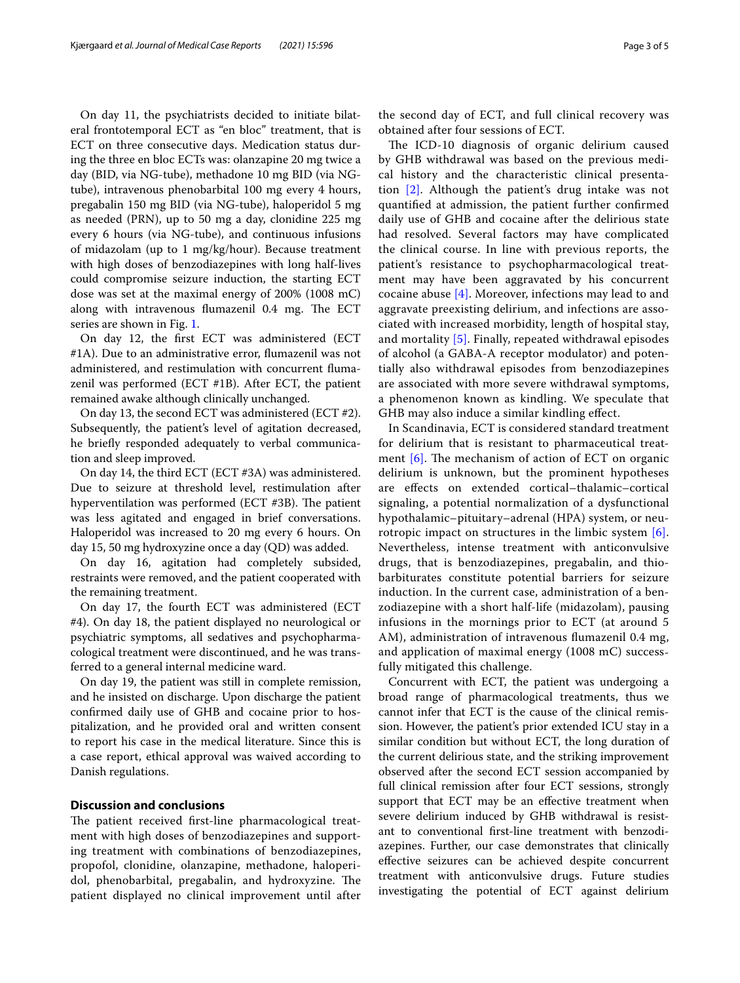On day 11, the psychiatrists decided to initiate bilateral frontotemporal ECT as "en bloc" treatment, that is ECT on three consecutive days. Medication status during the three en bloc ECTs was: olanzapine 20 mg twice a day (BID, via NG-tube), methadone 10 mg BID (via NGtube), intravenous phenobarbital 100 mg every 4 hours, pregabalin 150 mg BID (via NG-tube), haloperidol 5 mg as needed (PRN), up to 50 mg a day, clonidine 225 mg every 6 hours (via NG-tube), and continuous infusions of midazolam (up to 1 mg/kg/hour). Because treatment with high doses of benzodiazepines with long half-lives could compromise seizure induction, the starting ECT dose was set at the maximal energy of 200% (1008 mC) along with intravenous flumazenil 0.4 mg. The ECT series are shown in Fig. [1.](#page-3-0)

On day 12, the frst ECT was administered (ECT #1A). Due to an administrative error, fumazenil was not administered, and restimulation with concurrent fumazenil was performed (ECT #1B). After ECT, the patient remained awake although clinically unchanged.

On day 13, the second ECT was administered (ECT #2). Subsequently, the patient's level of agitation decreased, he briefy responded adequately to verbal communication and sleep improved.

On day 14, the third ECT (ECT #3A) was administered. Due to seizure at threshold level, restimulation after hyperventilation was performed (ECT  $#3B$ ). The patient was less agitated and engaged in brief conversations. Haloperidol was increased to 20 mg every 6 hours. On day 15, 50 mg hydroxyzine once a day (QD) was added.

On day 16, agitation had completely subsided, restraints were removed, and the patient cooperated with the remaining treatment.

On day 17, the fourth ECT was administered (ECT #4). On day 18, the patient displayed no neurological or psychiatric symptoms, all sedatives and psychopharmacological treatment were discontinued, and he was transferred to a general internal medicine ward.

On day 19, the patient was still in complete remission, and he insisted on discharge. Upon discharge the patient confrmed daily use of GHB and cocaine prior to hospitalization, and he provided oral and written consent to report his case in the medical literature. Since this is a case report, ethical approval was waived according to Danish regulations.

## **Discussion and conclusions**

The patient received first-line pharmacological treatment with high doses of benzodiazepines and supporting treatment with combinations of benzodiazepines, propofol, clonidine, olanzapine, methadone, haloperidol, phenobarbital, pregabalin, and hydroxyzine. The patient displayed no clinical improvement until after the second day of ECT, and full clinical recovery was obtained after four sessions of ECT.

The ICD-10 diagnosis of organic delirium caused by GHB withdrawal was based on the previous medical history and the characteristic clinical presentation [\[2\]](#page-4-1). Although the patient's drug intake was not quantifed at admission, the patient further confrmed daily use of GHB and cocaine after the delirious state had resolved. Several factors may have complicated the clinical course. In line with previous reports, the patient's resistance to psychopharmacological treatment may have been aggravated by his concurrent cocaine abuse  $[4]$ . Moreover, infections may lead to and aggravate preexisting delirium, and infections are associated with increased morbidity, length of hospital stay, and mortality [\[5\]](#page-4-4). Finally, repeated withdrawal episodes of alcohol (a GABA-A receptor modulator) and potentially also withdrawal episodes from benzodiazepines are associated with more severe withdrawal symptoms, a phenomenon known as kindling. We speculate that GHB may also induce a similar kindling efect.

In Scandinavia, ECT is considered standard treatment for delirium that is resistant to pharmaceutical treatment  $[6]$ . The mechanism of action of ECT on organic delirium is unknown, but the prominent hypotheses are efects on extended cortical–thalamic–cortical signaling, a potential normalization of a dysfunctional hypothalamic–pituitary–adrenal (HPA) system, or neurotropic impact on structures in the limbic system [\[6\]](#page-4-5). Nevertheless, intense treatment with anticonvulsive drugs, that is benzodiazepines, pregabalin, and thiobarbiturates constitute potential barriers for seizure induction. In the current case, administration of a benzodiazepine with a short half-life (midazolam), pausing infusions in the mornings prior to ECT (at around 5 AM), administration of intravenous fumazenil 0.4 mg, and application of maximal energy (1008 mC) successfully mitigated this challenge.

Concurrent with ECT, the patient was undergoing a broad range of pharmacological treatments, thus we cannot infer that ECT is the cause of the clinical remission. However, the patient's prior extended ICU stay in a similar condition but without ECT, the long duration of the current delirious state, and the striking improvement observed after the second ECT session accompanied by full clinical remission after four ECT sessions, strongly support that ECT may be an effective treatment when severe delirium induced by GHB withdrawal is resistant to conventional frst-line treatment with benzodiazepines. Further, our case demonstrates that clinically efective seizures can be achieved despite concurrent treatment with anticonvulsive drugs. Future studies investigating the potential of ECT against delirium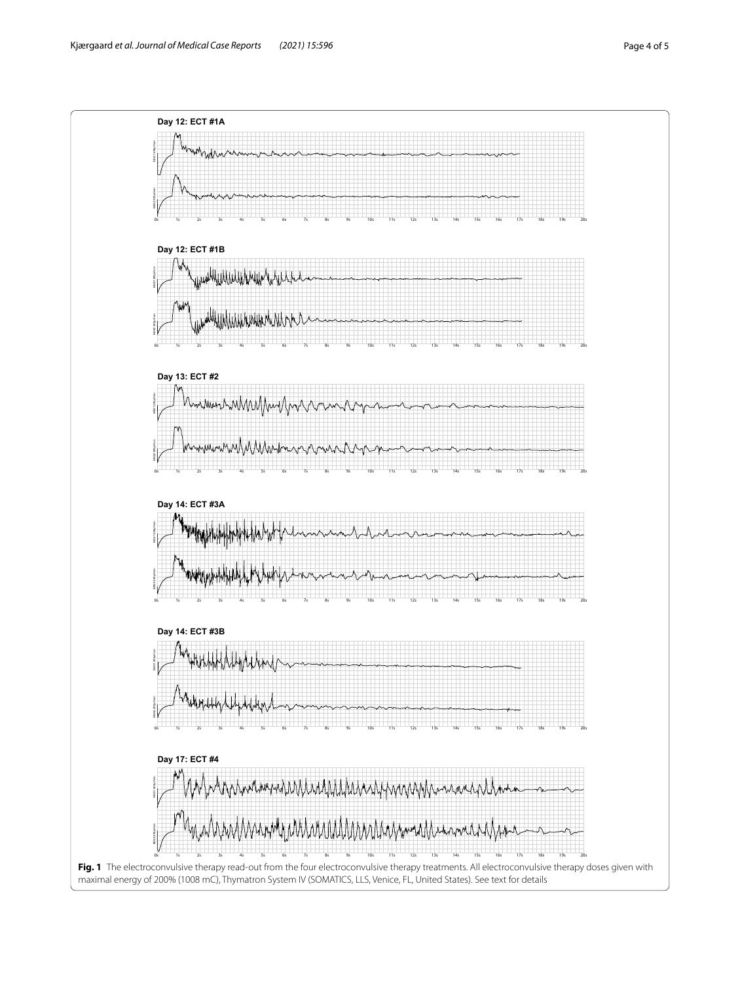<span id="page-3-0"></span>